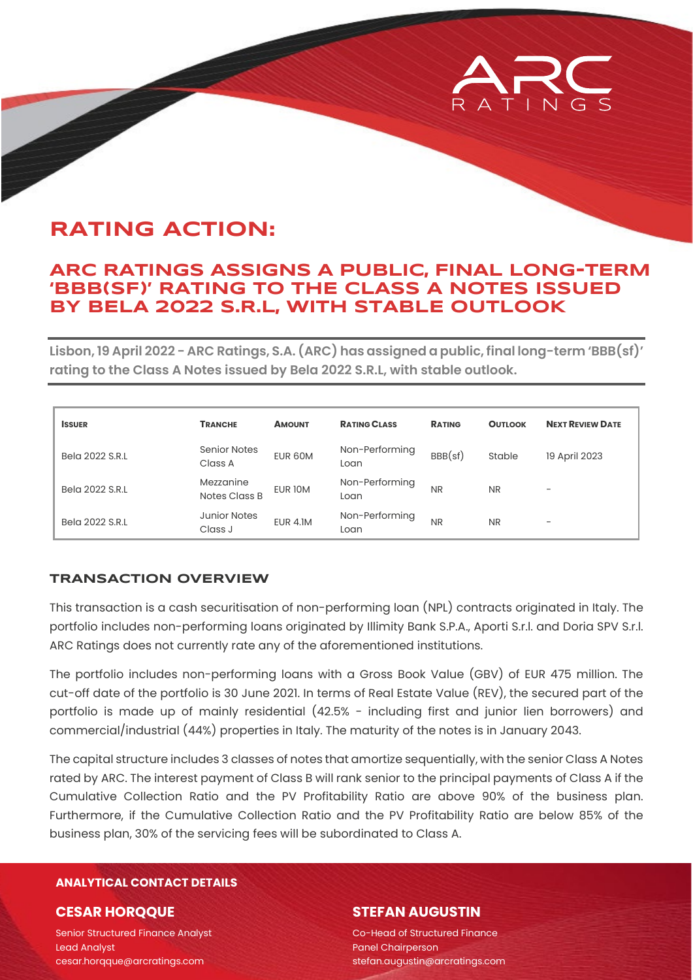

# **RATING ACTION:**

### **ARC RATINGS ASSIGNS A PUBLIC, FINAL LONG-TERM 'BBB(SF)' RATING TO THE CLASS A NOTES ISSUED BY BELA 2022 S.R.L, WITH STABLE OUTLOOK**

**Lisbon, 19 April 2022 - ARC Ratings, S.A. (ARC) has assigned a public, final long-term 'BBB(sf)' rating to the Class A Notes issued by Bela 2022 S.R.L, with stable outlook.**

| <b>ISSUER</b>   | <b>TRANCHE</b>                 | <b>AMOUNT</b>   | <b>RATING CLASS</b>    | <b>RATING</b> | <b>OUTLOOK</b> | <b>NEXT REVIEW DATE</b> |
|-----------------|--------------------------------|-----------------|------------------------|---------------|----------------|-------------------------|
| Bela 2022 S.R.L | <b>Senior Notes</b><br>Class A | EUR 60M         | Non-Performing<br>Loan | BBB(sf)       | Stable         | 19 April 2023           |
| Bela 2022 S.R.L | Mezzanine<br>Notes Class B     | EUR 10M         | Non-Performing<br>Loan | <b>NR</b>     | <b>NR</b>      | -                       |
| Bela 2022 S.R.L | <b>Junior Notes</b><br>Class J | <b>EUR 4.1M</b> | Non-Performing<br>Loan | <b>NR</b>     | <b>NR</b>      | -                       |

#### **TRANSACTION OVERVIEW**

This transaction is a cash securitisation of non-performing loan (NPL) contracts originated in Italy. The portfolio includes non-performing loans originated by Illimity Bank S.P.A., Aporti S.r.l. and Doria SPV S.r.l. ARC Ratings does not currently rate any of the aforementioned institutions.

The portfolio includes non-performing loans with a Gross Book Value (GBV) of EUR 475 million. The cut-off date of the portfolio is 30 June 2021. In terms of Real Estate Value (REV), the secured part of the portfolio is made up of mainly residential (42.5% - including first and junior lien borrowers) and commercial/industrial (44%) properties in Italy. The maturity of the notes is in January 2043.

The capital structure includes 3 classes of notes that amortize sequentially, with the senior Class A Notes rated by ARC. The interest payment of Class B will rank senior to the principal payments of Class A if the Cumulative Collection Ratio and the PV Profitability Ratio are above 90% of the business plan. Furthermore, if the Cumulative Collection Ratio and the PV Profitability Ratio are below 85% of the business plan, 30% of the servicing fees will be subordinated to Class A.

#### **ANALYTICAL CONTACT DETAILS**

#### **CESAR HORQQUE**

Senior Structured Finance Analyst Lead Analyst cesar.horqque@arcratings.com

#### **STEFAN AUGUSTIN**

Co-Head of Structured Finance Panel Chairperson stefan.augustin@arcratings.com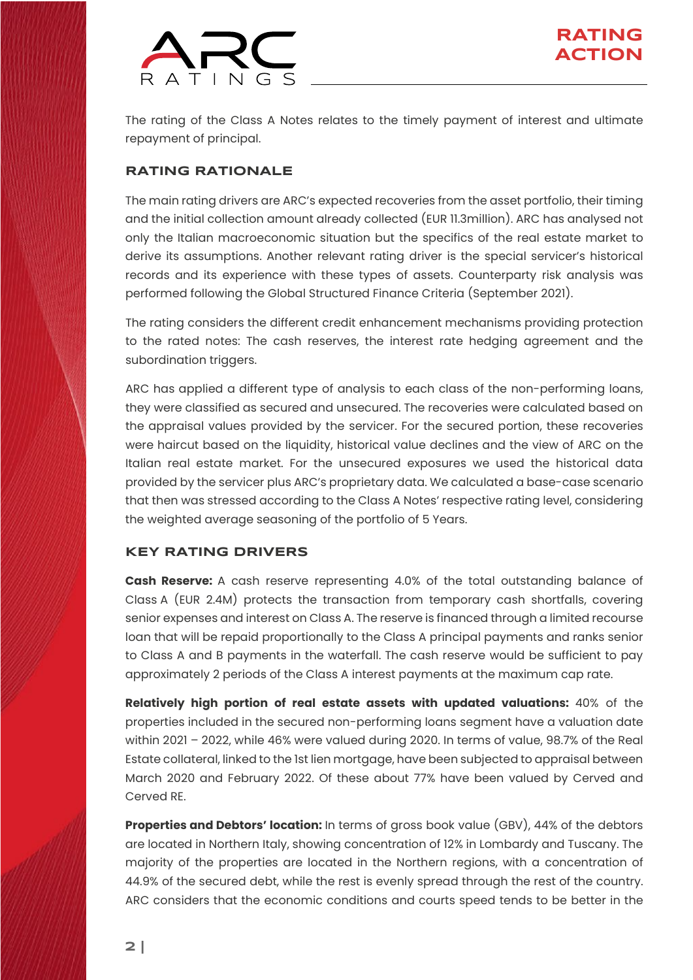

The rating of the Class A Notes relates to the timely payment of interest and ultimate repayment of principal.

#### **RATING RATIONALE**

The main rating drivers are ARC's expected recoveries from the asset portfolio, their timing and the initial collection amount already collected (EUR 11.3million). ARC has analysed not only the Italian macroeconomic situation but the specifics of the real estate market to derive its assumptions. Another relevant rating driver is the special servicer's historical records and its experience with these types of assets. Counterparty risk analysis was performed following the Global Structured Finance Criteria [\(September 2021\)](https://arcratings.com/wp-content/uploads/2021/06/ARC-Ratings-Global-Structured-Finance-Criteria-30-Sep-2021.pdf).

The rating considers the different credit enhancement mechanisms providing protection to the rated notes: The cash reserves, the interest rate hedging agreement and the subordination triggers.

ARC has applied a different type of analysis to each class of the non-performing loans, they were classified as secured and unsecured. The recoveries were calculated based on the appraisal values provided by the servicer. For the secured portion, these recoveries were haircut based on the liquidity, historical value declines and the view of ARC on the Italian real estate market. For the unsecured exposures we used the historical data provided by the servicer plus ARC's proprietary data. We calculated a base-case scenario that then was stressed according to the Class A Notes' respective rating level, considering the weighted average seasoning of the portfolio of 5 Years.

#### **KEY RATING DRIVERS**

**Cash Reserve:** A cash reserve representing 4.0% of the total outstanding balance of Class A (EUR 2.4M) protects the transaction from temporary cash shortfalls, covering senior expenses and interest on Class A. The reserve is financed through a limited recourse loan that will be repaid proportionally to the Class A principal payments and ranks senior to Class A and B payments in the waterfall. The cash reserve would be sufficient to pay approximately 2 periods of the Class A interest payments at the maximum cap rate.

**Relatively high portion of real estate assets with updated valuations:** 40% of the properties included in the secured non-performing loans segment have a valuation date within 2021 – 2022, while 46% were valued during 2020. In terms of value, 98.7% of the Real Estate collateral, linked to the 1st lien mortgage, have been subjected to appraisal between March 2020 and February 2022. Of these about 77% have been valued by Cerved and Cerved RE.

**Properties and Debtors' location:** In terms of gross book value (GBV), 44% of the debtors are located in Northern Italy, showing concentration of 12% in Lombardy and Tuscany. The majority of the properties are located in the Northern regions, with a concentration of 44.9% of the secured debt, while the rest is evenly spread through the rest of the country. ARC considers that the economic conditions and courts speed tends to be better in the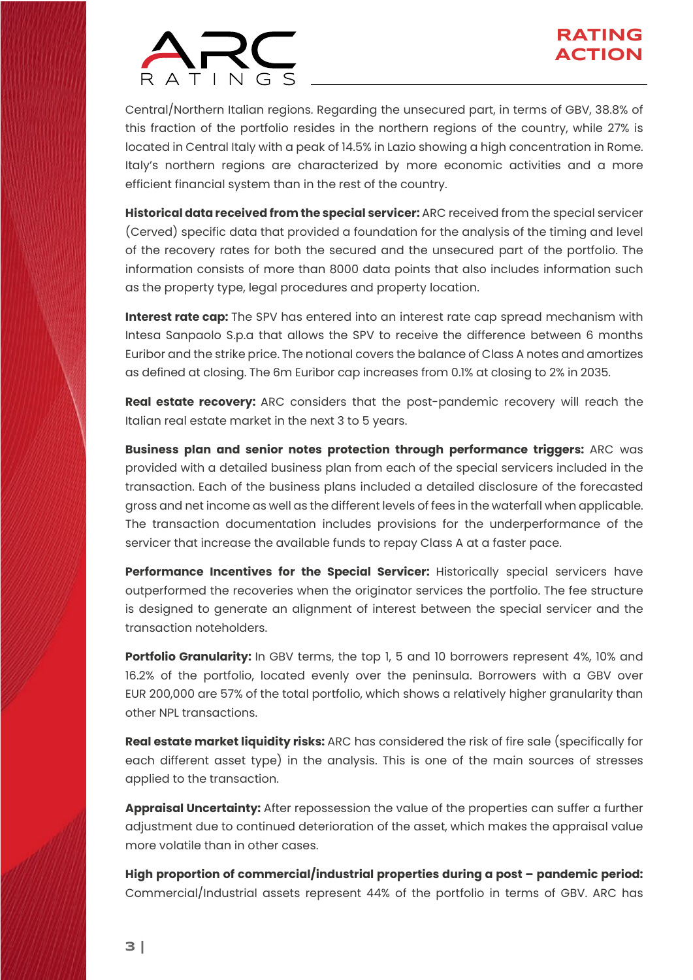

Central/Northern Italian regions. Regarding the unsecured part, in terms of GBV, 38.8% of this fraction of the portfolio resides in the northern regions of the country, while 27% is located in Central Italy with a peak of 14.5% in Lazio showing a high concentration in Rome. Italy's northern regions are characterized by more economic activities and a more efficient financial system than in the rest of the country.

**Historical data received from the special servicer:** ARC received from the special servicer (Cerved) specific data that provided a foundation for the analysis of the timing and level of the recovery rates for both the secured and the unsecured part of the portfolio. The information consists of more than 8000 data points that also includes information such as the property type, legal procedures and property location.

**Interest rate cap:** The SPV has entered into an interest rate cap spread mechanism with Intesa Sanpaolo S.p.a that allows the SPV to receive the difference between 6 months Euribor and the strike price. The notional covers the balance of Class A notes and amortizes as defined at closing. The 6m Euribor cap increases from 0.1% at closing to 2% in 2035.

**Real estate recovery:** ARC considers that the post-pandemic recovery will reach the Italian real estate market in the next 3 to 5 years.

**Business plan and senior notes protection through performance triggers:** ARC was provided with a detailed business plan from each of the special servicers included in the transaction. Each of the business plans included a detailed disclosure of the forecasted gross and net income as well as the different levels of fees in the waterfall when applicable. The transaction documentation includes provisions for the underperformance of the servicer that increase the available funds to repay Class A at a faster pace.

**Performance Incentives for the Special Servicer:** Historically special servicers have outperformed the recoveries when the originator services the portfolio. The fee structure is designed to generate an alignment of interest between the special servicer and the transaction noteholders.

Portfolio Granularity: In GBV terms, the top 1, 5 and 10 borrowers represent 4%, 10% and 16.2% of the portfolio, located evenly over the peninsula. Borrowers with a GBV over EUR 200,000 are 57% of the total portfolio, which shows a relatively higher granularity than other NPL transactions.

**Real estate market liquidity risks:** ARC has considered the risk of fire sale (specifically for each different asset type) in the analysis. This is one of the main sources of stresses applied to the transaction.

**Appraisal Uncertainty:** After repossession the value of the properties can suffer a further adjustment due to continued deterioration of the asset, which makes the appraisal value more volatile than in other cases.

**High proportion of commercial/industrial properties during a post – pandemic period:**  Commercial/Industrial assets represent 44% of the portfolio in terms of GBV. ARC has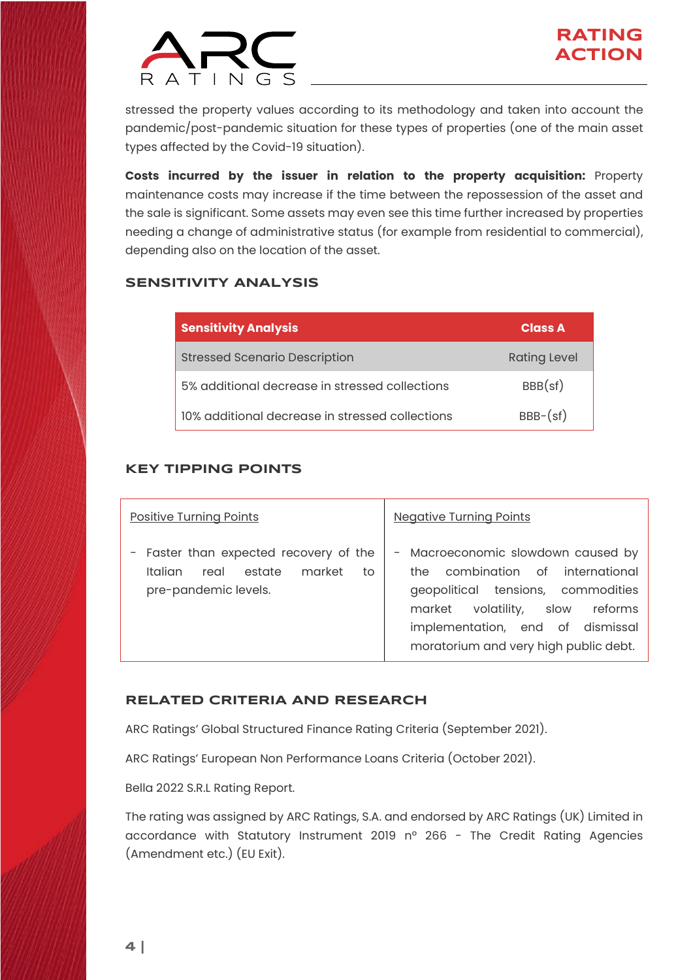

stressed the property values according to its methodology and taken into account the pandemic/post-pandemic situation for these types of properties (one of the main asset types affected by the Covid-19 situation).

**Costs incurred by the issuer in relation to the property acquisition:** Property maintenance costs may increase if the time between the repossession of the asset and the sale is significant. Some assets may even see this time further increased by properties needing a change of administrative status (for example from residential to commercial), depending also on the location of the asset.

#### **SENSITIVITY ANALYSIS**

| <b>Sensitivity Analysis</b>                     | <b>Class A</b>      |
|-------------------------------------------------|---------------------|
| <b>Stressed Scenario Description</b>            | <b>Rating Level</b> |
| 5% additional decrease in stressed collections  | BBB(sf)             |
| 10% additional decrease in stressed collections | $BBB-(sf)$          |

#### **KEY TIPPING POINTS**

| <b>Positive Turning Points</b>                                                                              | <b>Negative Turning Points</b>                                                                                                                                                                                               |  |  |
|-------------------------------------------------------------------------------------------------------------|------------------------------------------------------------------------------------------------------------------------------------------------------------------------------------------------------------------------------|--|--|
| - Faster than expected recovery of the<br>market<br>estate<br>Italian<br>real<br>to<br>pre-pandemic levels. | - Macroeconomic slowdown caused by<br>the combination of international<br>geopolitical tensions, commodities<br>market volatility, slow reforms<br>implementation, end of dismissal<br>moratorium and very high public debt. |  |  |

#### **RELATED CRITERIA AND RESEARCH**

ARC Ratings' Global Structured Finance Rating Criteria [\(September 2021\)](https://arcratings.com/wp-content/uploads/2021/06/ARC-Ratings-Global-Structured-Finance-Criteria-30-Sep-2021.pdf).

ARC Ratings' European Non Performance Loans Criteria [\(October](https://arcratings.com/wp-content/uploads/2021/06/ARC-Ratings-European-Non-Performing-Loans-Criteria-31-Oct-2021.pdf) 2021).

[Bella 2022 S.R.L](https://arcratings.com/wp-content/uploads/2022/04/20220513_ARC-Ratings_Bela_2022_S.r.l_19_Apr_2022.pdf) Rating Report.

The rating was assigned by ARC Ratings, S.A. and endorsed by ARC Ratings (UK) Limited in accordance with Statutory Instrument 2019 nº 266 - The Credit Rating Agencies (Amendment etc.) (EU Exit).